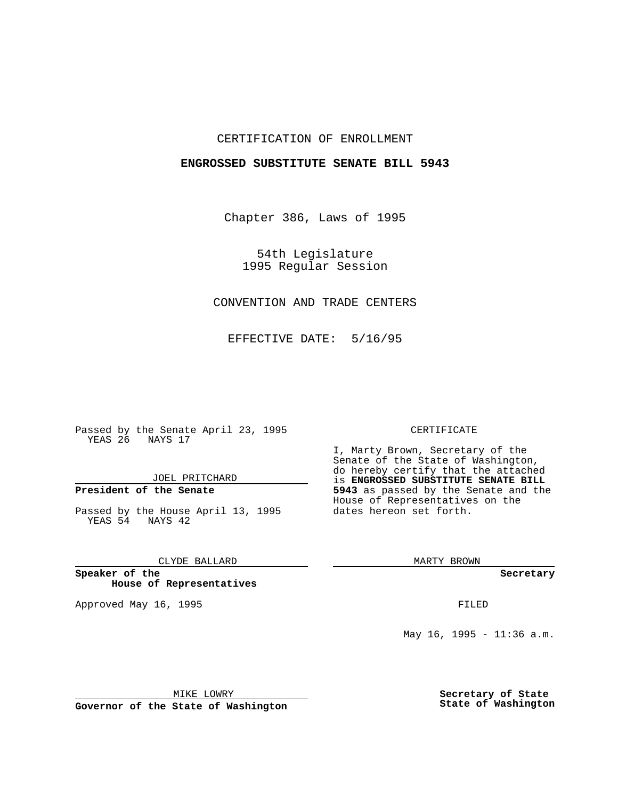## CERTIFICATION OF ENROLLMENT

## **ENGROSSED SUBSTITUTE SENATE BILL 5943**

Chapter 386, Laws of 1995

54th Legislature 1995 Regular Session

# CONVENTION AND TRADE CENTERS

EFFECTIVE DATE: 5/16/95

Passed by the Senate April 23, 1995 YEAS 26 NAYS 17

JOEL PRITCHARD

# **President of the Senate**

Passed by the House April 13, 1995 YEAS 54 NAYS 42

CLYDE BALLARD

**Speaker of the House of Representatives**

Approved May 16, 1995 FILED

#### CERTIFICATE

I, Marty Brown, Secretary of the Senate of the State of Washington, do hereby certify that the attached is **ENGROSSED SUBSTITUTE SENATE BILL 5943** as passed by the Senate and the House of Representatives on the dates hereon set forth.

MARTY BROWN

**Secretary**

May 16, 1995 - 11:36 a.m.

MIKE LOWRY

**Governor of the State of Washington**

**Secretary of State State of Washington**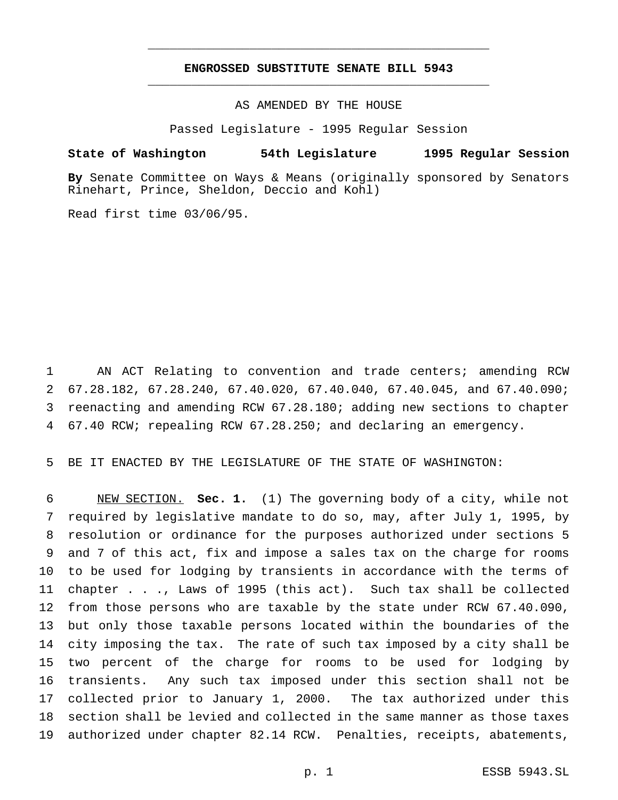# **ENGROSSED SUBSTITUTE SENATE BILL 5943** \_\_\_\_\_\_\_\_\_\_\_\_\_\_\_\_\_\_\_\_\_\_\_\_\_\_\_\_\_\_\_\_\_\_\_\_\_\_\_\_\_\_\_\_\_\_\_

\_\_\_\_\_\_\_\_\_\_\_\_\_\_\_\_\_\_\_\_\_\_\_\_\_\_\_\_\_\_\_\_\_\_\_\_\_\_\_\_\_\_\_\_\_\_\_

## AS AMENDED BY THE HOUSE

Passed Legislature - 1995 Regular Session

#### **State of Washington 54th Legislature 1995 Regular Session**

**By** Senate Committee on Ways & Means (originally sponsored by Senators Rinehart, Prince, Sheldon, Deccio and Kohl)

Read first time 03/06/95.

 AN ACT Relating to convention and trade centers; amending RCW 67.28.182, 67.28.240, 67.40.020, 67.40.040, 67.40.045, and 67.40.090; reenacting and amending RCW 67.28.180; adding new sections to chapter 67.40 RCW; repealing RCW 67.28.250; and declaring an emergency.

BE IT ENACTED BY THE LEGISLATURE OF THE STATE OF WASHINGTON:

 NEW SECTION. **Sec. 1.** (1) The governing body of a city, while not required by legislative mandate to do so, may, after July 1, 1995, by resolution or ordinance for the purposes authorized under sections 5 and 7 of this act, fix and impose a sales tax on the charge for rooms to be used for lodging by transients in accordance with the terms of chapter . . ., Laws of 1995 (this act). Such tax shall be collected from those persons who are taxable by the state under RCW 67.40.090, but only those taxable persons located within the boundaries of the city imposing the tax. The rate of such tax imposed by a city shall be two percent of the charge for rooms to be used for lodging by transients. Any such tax imposed under this section shall not be collected prior to January 1, 2000. The tax authorized under this section shall be levied and collected in the same manner as those taxes authorized under chapter 82.14 RCW. Penalties, receipts, abatements,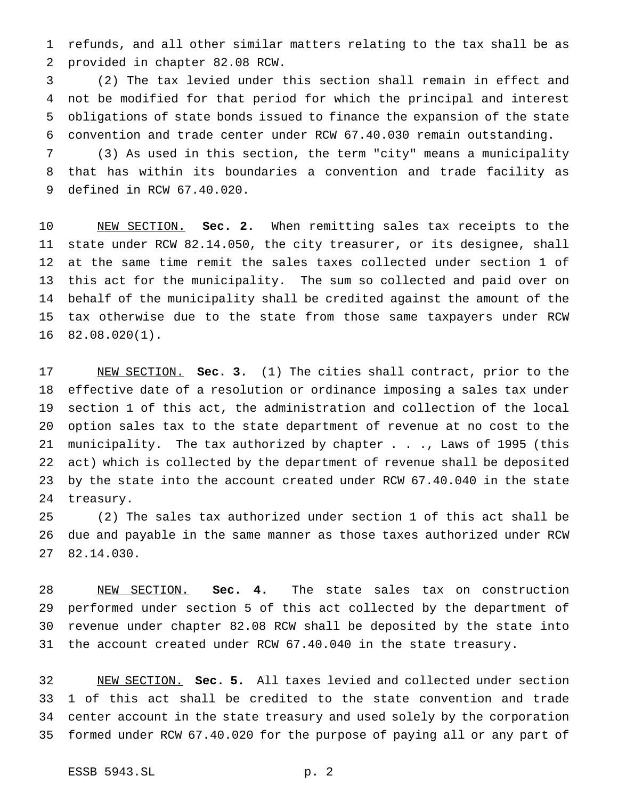refunds, and all other similar matters relating to the tax shall be as provided in chapter 82.08 RCW.

 (2) The tax levied under this section shall remain in effect and not be modified for that period for which the principal and interest obligations of state bonds issued to finance the expansion of the state convention and trade center under RCW 67.40.030 remain outstanding.

 (3) As used in this section, the term "city" means a municipality that has within its boundaries a convention and trade facility as defined in RCW 67.40.020.

 NEW SECTION. **Sec. 2.** When remitting sales tax receipts to the state under RCW 82.14.050, the city treasurer, or its designee, shall at the same time remit the sales taxes collected under section 1 of this act for the municipality. The sum so collected and paid over on behalf of the municipality shall be credited against the amount of the tax otherwise due to the state from those same taxpayers under RCW 82.08.020(1).

 NEW SECTION. **Sec. 3.** (1) The cities shall contract, prior to the effective date of a resolution or ordinance imposing a sales tax under section 1 of this act, the administration and collection of the local option sales tax to the state department of revenue at no cost to the municipality. The tax authorized by chapter . . ., Laws of 1995 (this act) which is collected by the department of revenue shall be deposited by the state into the account created under RCW 67.40.040 in the state treasury.

 (2) The sales tax authorized under section 1 of this act shall be due and payable in the same manner as those taxes authorized under RCW 82.14.030.

 NEW SECTION. **Sec. 4.** The state sales tax on construction performed under section 5 of this act collected by the department of revenue under chapter 82.08 RCW shall be deposited by the state into the account created under RCW 67.40.040 in the state treasury.

 NEW SECTION. **Sec. 5.** All taxes levied and collected under section 1 of this act shall be credited to the state convention and trade center account in the state treasury and used solely by the corporation formed under RCW 67.40.020 for the purpose of paying all or any part of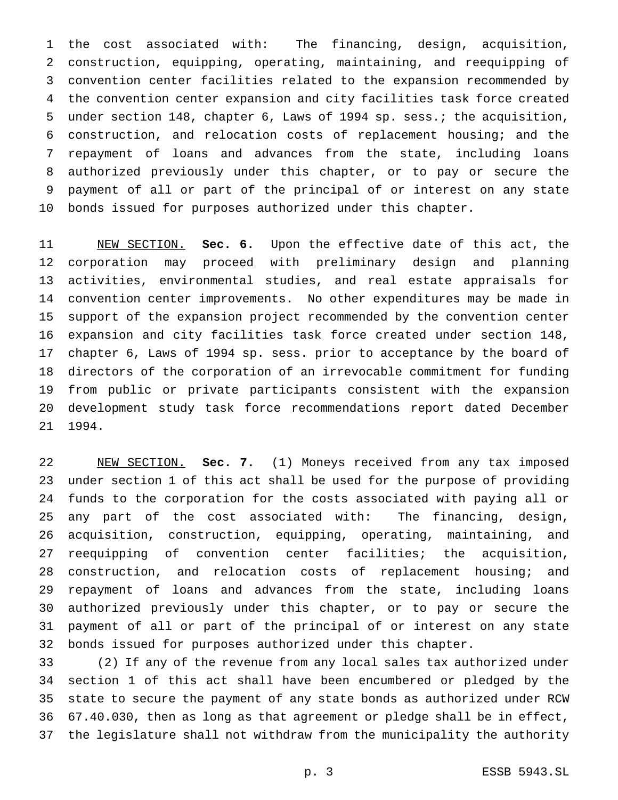the cost associated with: The financing, design, acquisition, construction, equipping, operating, maintaining, and reequipping of convention center facilities related to the expansion recommended by the convention center expansion and city facilities task force created under section 148, chapter 6, Laws of 1994 sp. sess.; the acquisition, construction, and relocation costs of replacement housing; and the repayment of loans and advances from the state, including loans authorized previously under this chapter, or to pay or secure the payment of all or part of the principal of or interest on any state bonds issued for purposes authorized under this chapter.

 NEW SECTION. **Sec. 6.** Upon the effective date of this act, the corporation may proceed with preliminary design and planning activities, environmental studies, and real estate appraisals for convention center improvements. No other expenditures may be made in support of the expansion project recommended by the convention center expansion and city facilities task force created under section 148, chapter 6, Laws of 1994 sp. sess. prior to acceptance by the board of directors of the corporation of an irrevocable commitment for funding from public or private participants consistent with the expansion development study task force recommendations report dated December 1994.

 NEW SECTION. **Sec. 7.** (1) Moneys received from any tax imposed under section 1 of this act shall be used for the purpose of providing funds to the corporation for the costs associated with paying all or any part of the cost associated with: The financing, design, acquisition, construction, equipping, operating, maintaining, and reequipping of convention center facilities; the acquisition, construction, and relocation costs of replacement housing; and repayment of loans and advances from the state, including loans authorized previously under this chapter, or to pay or secure the payment of all or part of the principal of or interest on any state bonds issued for purposes authorized under this chapter.

 (2) If any of the revenue from any local sales tax authorized under section 1 of this act shall have been encumbered or pledged by the state to secure the payment of any state bonds as authorized under RCW 67.40.030, then as long as that agreement or pledge shall be in effect, the legislature shall not withdraw from the municipality the authority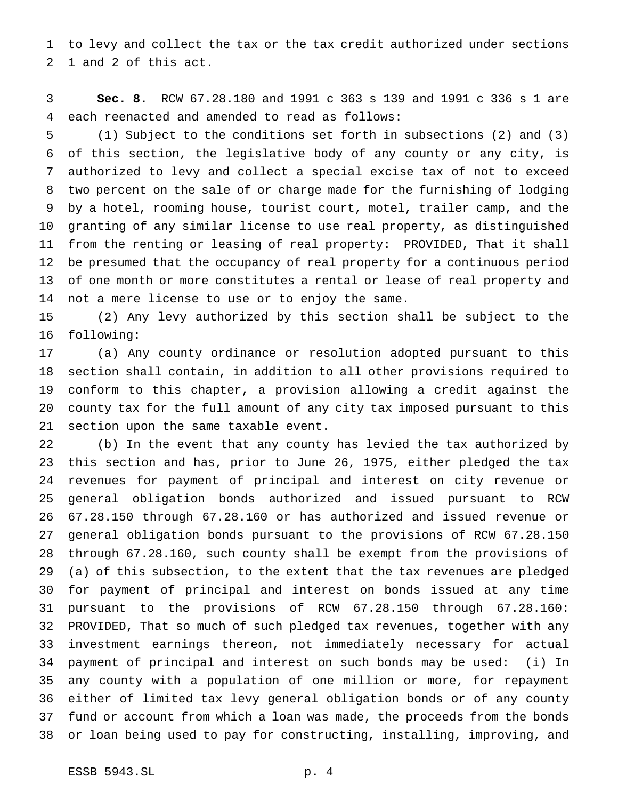to levy and collect the tax or the tax credit authorized under sections 1 and 2 of this act.

 **Sec. 8.** RCW 67.28.180 and 1991 c 363 s 139 and 1991 c 336 s 1 are each reenacted and amended to read as follows:

 (1) Subject to the conditions set forth in subsections (2) and (3) of this section, the legislative body of any county or any city, is authorized to levy and collect a special excise tax of not to exceed two percent on the sale of or charge made for the furnishing of lodging by a hotel, rooming house, tourist court, motel, trailer camp, and the granting of any similar license to use real property, as distinguished from the renting or leasing of real property: PROVIDED, That it shall be presumed that the occupancy of real property for a continuous period of one month or more constitutes a rental or lease of real property and not a mere license to use or to enjoy the same.

 (2) Any levy authorized by this section shall be subject to the following:

 (a) Any county ordinance or resolution adopted pursuant to this section shall contain, in addition to all other provisions required to conform to this chapter, a provision allowing a credit against the county tax for the full amount of any city tax imposed pursuant to this section upon the same taxable event.

 (b) In the event that any county has levied the tax authorized by this section and has, prior to June 26, 1975, either pledged the tax revenues for payment of principal and interest on city revenue or general obligation bonds authorized and issued pursuant to RCW 67.28.150 through 67.28.160 or has authorized and issued revenue or general obligation bonds pursuant to the provisions of RCW 67.28.150 through 67.28.160, such county shall be exempt from the provisions of (a) of this subsection, to the extent that the tax revenues are pledged for payment of principal and interest on bonds issued at any time pursuant to the provisions of RCW 67.28.150 through 67.28.160: PROVIDED, That so much of such pledged tax revenues, together with any investment earnings thereon, not immediately necessary for actual payment of principal and interest on such bonds may be used: (i) In any county with a population of one million or more, for repayment either of limited tax levy general obligation bonds or of any county fund or account from which a loan was made, the proceeds from the bonds or loan being used to pay for constructing, installing, improving, and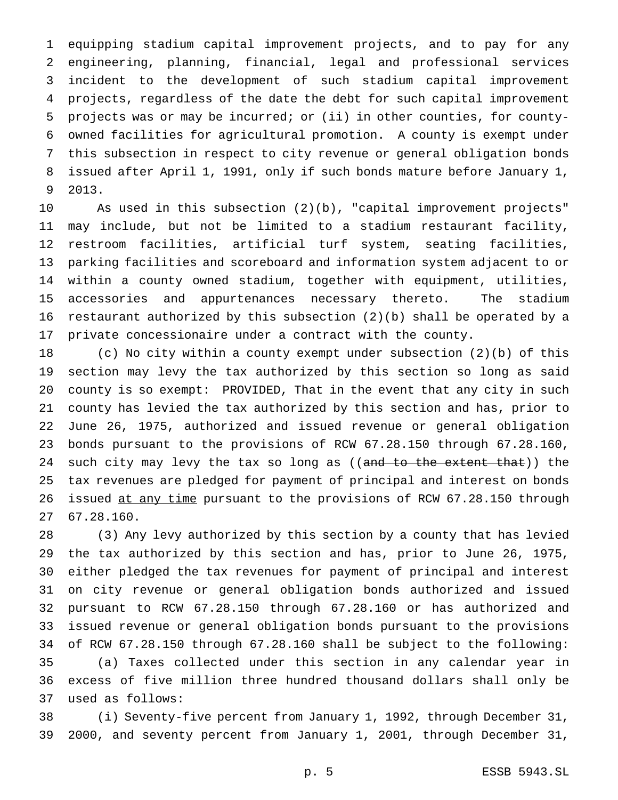equipping stadium capital improvement projects, and to pay for any engineering, planning, financial, legal and professional services incident to the development of such stadium capital improvement projects, regardless of the date the debt for such capital improvement projects was or may be incurred; or (ii) in other counties, for county- owned facilities for agricultural promotion. A county is exempt under this subsection in respect to city revenue or general obligation bonds issued after April 1, 1991, only if such bonds mature before January 1, 2013.

 As used in this subsection (2)(b), "capital improvement projects" may include, but not be limited to a stadium restaurant facility, restroom facilities, artificial turf system, seating facilities, parking facilities and scoreboard and information system adjacent to or within a county owned stadium, together with equipment, utilities, accessories and appurtenances necessary thereto. The stadium restaurant authorized by this subsection (2)(b) shall be operated by a private concessionaire under a contract with the county.

 (c) No city within a county exempt under subsection (2)(b) of this section may levy the tax authorized by this section so long as said county is so exempt: PROVIDED, That in the event that any city in such county has levied the tax authorized by this section and has, prior to June 26, 1975, authorized and issued revenue or general obligation bonds pursuant to the provisions of RCW 67.28.150 through 67.28.160, 24 such city may levy the tax so long as ((and to the extent that)) the tax revenues are pledged for payment of principal and interest on bonds issued at any time pursuant to the provisions of RCW 67.28.150 through 67.28.160.

 (3) Any levy authorized by this section by a county that has levied the tax authorized by this section and has, prior to June 26, 1975, either pledged the tax revenues for payment of principal and interest on city revenue or general obligation bonds authorized and issued pursuant to RCW 67.28.150 through 67.28.160 or has authorized and issued revenue or general obligation bonds pursuant to the provisions of RCW 67.28.150 through 67.28.160 shall be subject to the following: (a) Taxes collected under this section in any calendar year in excess of five million three hundred thousand dollars shall only be used as follows:

 (i) Seventy-five percent from January 1, 1992, through December 31, 2000, and seventy percent from January 1, 2001, through December 31,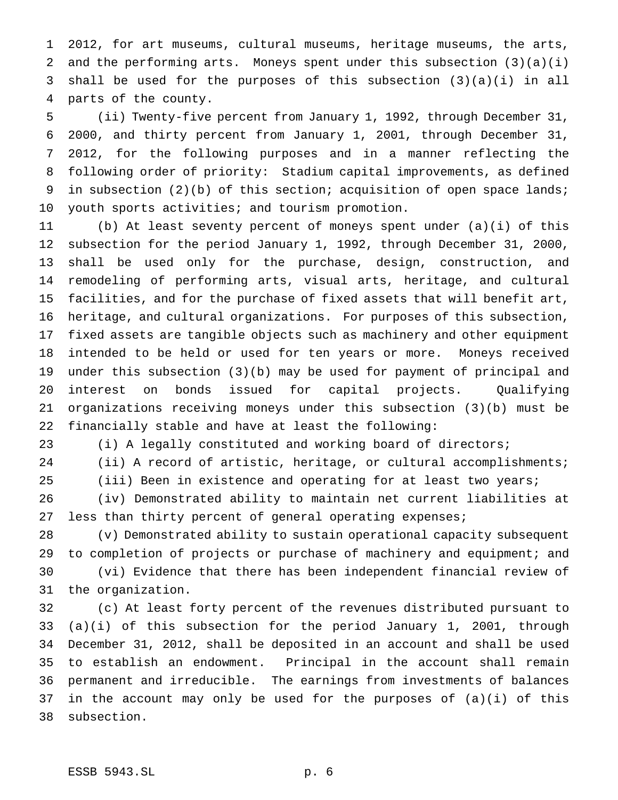2012, for art museums, cultural museums, heritage museums, the arts, and the performing arts. Moneys spent under this subsection (3)(a)(i) shall be used for the purposes of this subsection (3)(a)(i) in all parts of the county.

 (ii) Twenty-five percent from January 1, 1992, through December 31, 2000, and thirty percent from January 1, 2001, through December 31, 2012, for the following purposes and in a manner reflecting the following order of priority: Stadium capital improvements, as defined 9 in subsection (2)(b) of this section; acquisition of open space lands; youth sports activities; and tourism promotion.

 (b) At least seventy percent of moneys spent under (a)(i) of this subsection for the period January 1, 1992, through December 31, 2000, shall be used only for the purchase, design, construction, and remodeling of performing arts, visual arts, heritage, and cultural facilities, and for the purchase of fixed assets that will benefit art, heritage, and cultural organizations. For purposes of this subsection, fixed assets are tangible objects such as machinery and other equipment intended to be held or used for ten years or more. Moneys received under this subsection (3)(b) may be used for payment of principal and interest on bonds issued for capital projects. Qualifying organizations receiving moneys under this subsection (3)(b) must be financially stable and have at least the following:

(i) A legally constituted and working board of directors;

(ii) A record of artistic, heritage, or cultural accomplishments;

(iii) Been in existence and operating for at least two years;

 (iv) Demonstrated ability to maintain net current liabilities at less than thirty percent of general operating expenses;

 (v) Demonstrated ability to sustain operational capacity subsequent to completion of projects or purchase of machinery and equipment; and (vi) Evidence that there has been independent financial review of the organization.

 (c) At least forty percent of the revenues distributed pursuant to (a)(i) of this subsection for the period January 1, 2001, through December 31, 2012, shall be deposited in an account and shall be used to establish an endowment. Principal in the account shall remain permanent and irreducible. The earnings from investments of balances in the account may only be used for the purposes of (a)(i) of this subsection.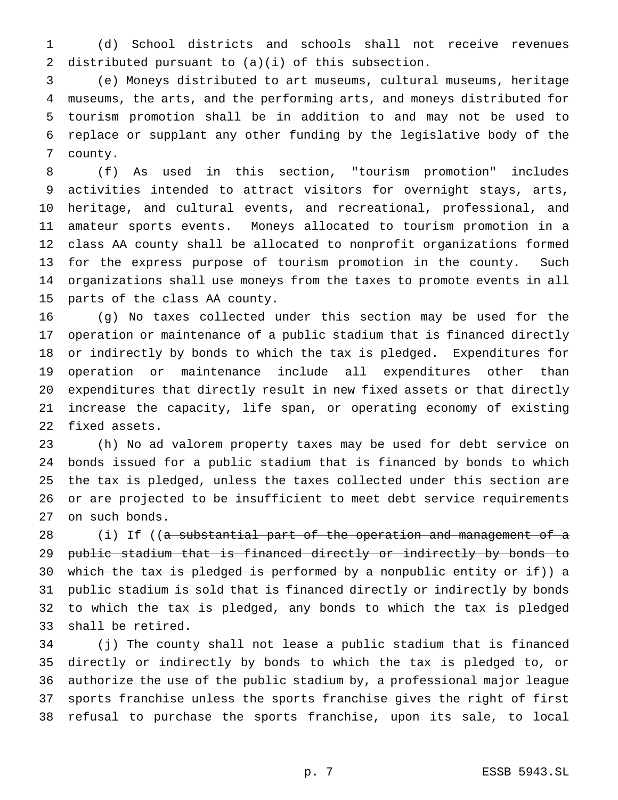(d) School districts and schools shall not receive revenues distributed pursuant to (a)(i) of this subsection.

 (e) Moneys distributed to art museums, cultural museums, heritage museums, the arts, and the performing arts, and moneys distributed for tourism promotion shall be in addition to and may not be used to replace or supplant any other funding by the legislative body of the county.

 (f) As used in this section, "tourism promotion" includes activities intended to attract visitors for overnight stays, arts, heritage, and cultural events, and recreational, professional, and amateur sports events. Moneys allocated to tourism promotion in a class AA county shall be allocated to nonprofit organizations formed for the express purpose of tourism promotion in the county. Such organizations shall use moneys from the taxes to promote events in all parts of the class AA county.

 (g) No taxes collected under this section may be used for the operation or maintenance of a public stadium that is financed directly or indirectly by bonds to which the tax is pledged. Expenditures for operation or maintenance include all expenditures other than expenditures that directly result in new fixed assets or that directly increase the capacity, life span, or operating economy of existing fixed assets.

 (h) No ad valorem property taxes may be used for debt service on bonds issued for a public stadium that is financed by bonds to which the tax is pledged, unless the taxes collected under this section are or are projected to be insufficient to meet debt service requirements on such bonds.

28 (i) If ((a substantial part of the operation and management of a 29 public stadium that is financed directly or indirectly by bonds to 30 which the tax is pledged is performed by a nonpublic entity or if)) a public stadium is sold that is financed directly or indirectly by bonds to which the tax is pledged, any bonds to which the tax is pledged shall be retired.

 (j) The county shall not lease a public stadium that is financed directly or indirectly by bonds to which the tax is pledged to, or authorize the use of the public stadium by, a professional major league sports franchise unless the sports franchise gives the right of first refusal to purchase the sports franchise, upon its sale, to local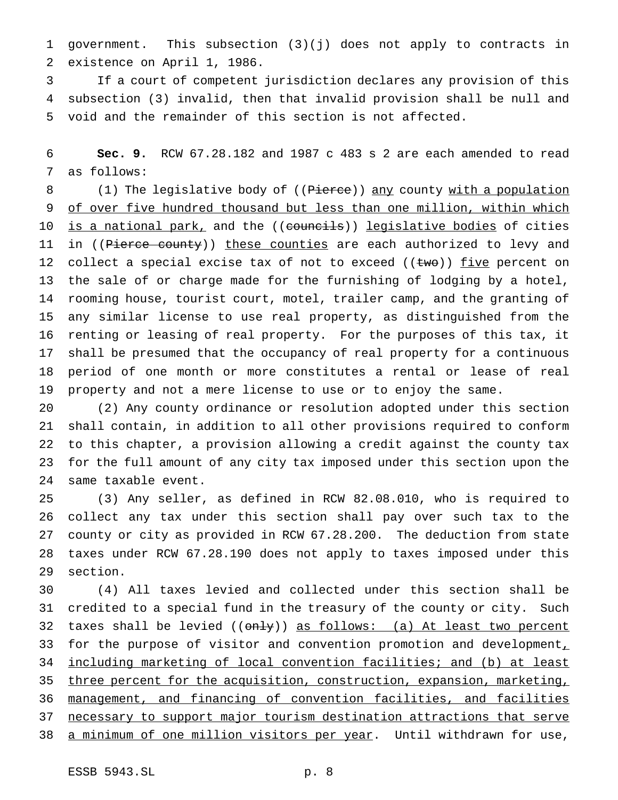government. This subsection (3)(j) does not apply to contracts in existence on April 1, 1986.

 If a court of competent jurisdiction declares any provision of this subsection (3) invalid, then that invalid provision shall be null and void and the remainder of this section is not affected.

 **Sec. 9.** RCW 67.28.182 and 1987 c 483 s 2 are each amended to read as follows:

8 (1) The legislative body of ((Pierce)) any county with a population 9 of over five hundred thousand but less than one million, within which 10 is a national park, and the ((councils)) legislative bodies of cities 11 in ((Pierce county)) these counties are each authorized to levy and 12 collect a special excise tax of not to exceed  $((two))$  five percent on the sale of or charge made for the furnishing of lodging by a hotel, rooming house, tourist court, motel, trailer camp, and the granting of any similar license to use real property, as distinguished from the renting or leasing of real property. For the purposes of this tax, it shall be presumed that the occupancy of real property for a continuous period of one month or more constitutes a rental or lease of real property and not a mere license to use or to enjoy the same.

 (2) Any county ordinance or resolution adopted under this section shall contain, in addition to all other provisions required to conform to this chapter, a provision allowing a credit against the county tax for the full amount of any city tax imposed under this section upon the same taxable event.

 (3) Any seller, as defined in RCW 82.08.010, who is required to collect any tax under this section shall pay over such tax to the county or city as provided in RCW 67.28.200. The deduction from state taxes under RCW 67.28.190 does not apply to taxes imposed under this section.

 (4) All taxes levied and collected under this section shall be credited to a special fund in the treasury of the county or city. Such 32 taxes shall be levied ((only)) as follows: (a) At least two percent 33 for the purpose of visitor and convention promotion and development, including marketing of local convention facilities; and (b) at least 35 three percent for the acquisition, construction, expansion, marketing, management, and financing of convention facilities, and facilities 37 necessary to support major tourism destination attractions that serve 38 a minimum of one million visitors per year. Until withdrawn for use,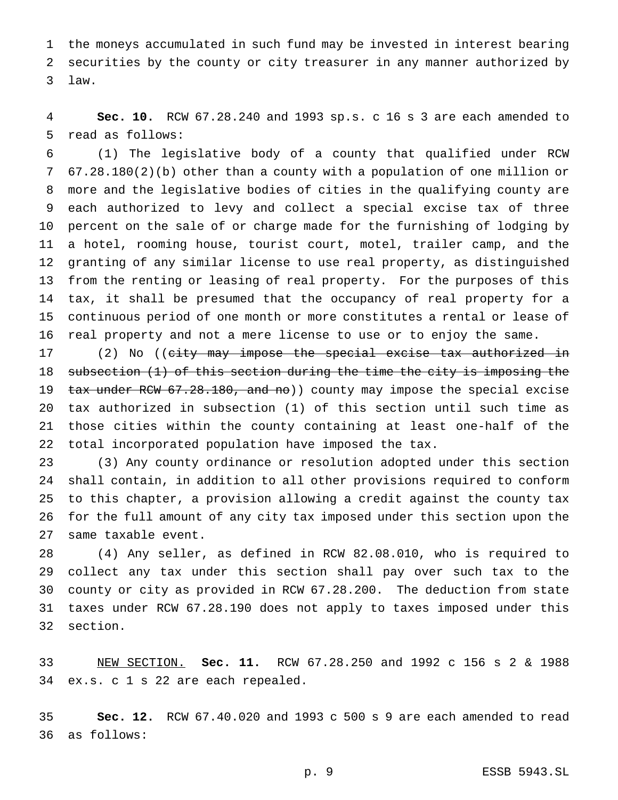the moneys accumulated in such fund may be invested in interest bearing securities by the county or city treasurer in any manner authorized by law.

 **Sec. 10.** RCW 67.28.240 and 1993 sp.s. c 16 s 3 are each amended to read as follows:

 (1) The legislative body of a county that qualified under RCW 67.28.180(2)(b) other than a county with a population of one million or more and the legislative bodies of cities in the qualifying county are each authorized to levy and collect a special excise tax of three percent on the sale of or charge made for the furnishing of lodging by a hotel, rooming house, tourist court, motel, trailer camp, and the granting of any similar license to use real property, as distinguished from the renting or leasing of real property. For the purposes of this tax, it shall be presumed that the occupancy of real property for a continuous period of one month or more constitutes a rental or lease of real property and not a mere license to use or to enjoy the same.

17 (2) No ((city may impose the special excise tax authorized in subsection (1) of this section during the time the city is imposing the 19 tax under RCW 67.28.180, and no)) county may impose the special excise tax authorized in subsection (1) of this section until such time as those cities within the county containing at least one-half of the total incorporated population have imposed the tax.

 (3) Any county ordinance or resolution adopted under this section shall contain, in addition to all other provisions required to conform to this chapter, a provision allowing a credit against the county tax for the full amount of any city tax imposed under this section upon the same taxable event.

 (4) Any seller, as defined in RCW 82.08.010, who is required to collect any tax under this section shall pay over such tax to the county or city as provided in RCW 67.28.200. The deduction from state taxes under RCW 67.28.190 does not apply to taxes imposed under this section.

 NEW SECTION. **Sec. 11.** RCW 67.28.250 and 1992 c 156s2& 1988 ex.s. c 1 s 22 are each repealed.

 **Sec. 12.** RCW 67.40.020 and 1993 c 500 s 9 are each amended to read as follows: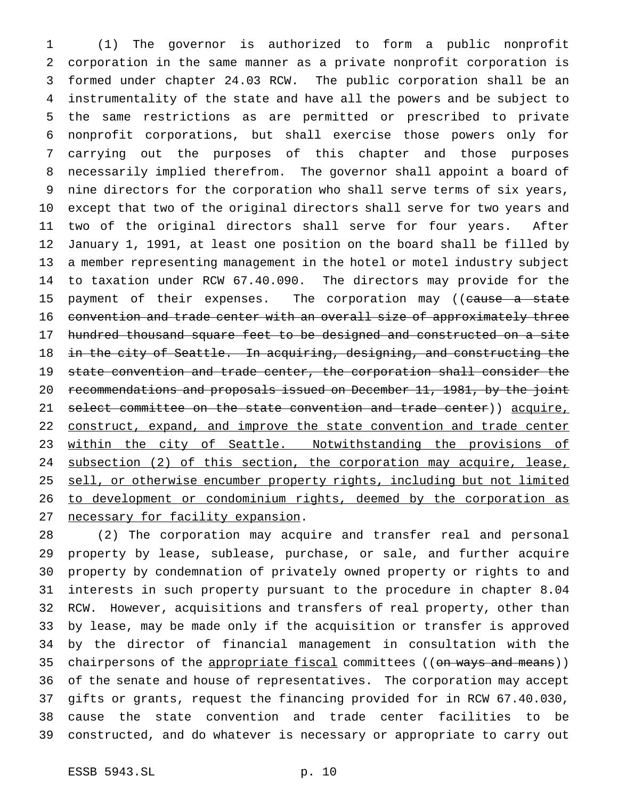(1) The governor is authorized to form a public nonprofit corporation in the same manner as a private nonprofit corporation is formed under chapter 24.03 RCW. The public corporation shall be an instrumentality of the state and have all the powers and be subject to the same restrictions as are permitted or prescribed to private nonprofit corporations, but shall exercise those powers only for carrying out the purposes of this chapter and those purposes necessarily implied therefrom. The governor shall appoint a board of nine directors for the corporation who shall serve terms of six years, except that two of the original directors shall serve for two years and two of the original directors shall serve for four years. After January 1, 1991, at least one position on the board shall be filled by a member representing management in the hotel or motel industry subject to taxation under RCW 67.40.090. The directors may provide for the 15 payment of their expenses. The corporation may ((cause a state convention and trade center with an overall size of approximately three hundred thousand square feet to be designed and constructed on a site 18 in the city of Seattle. In acquiring, designing, and constructing the state convention and trade center, the corporation shall consider the recommendations and proposals issued on December 11, 1981, by the joint 21 select committee on the state convention and trade center)) acquire, 22 construct, expand, and improve the state convention and trade center 23 within the city of Seattle. Notwithstanding the provisions of 24 subsection (2) of this section, the corporation may acquire, lease, 25 sell, or otherwise encumber property rights, including but not limited 26 to development or condominium rights, deemed by the corporation as necessary for facility expansion.

 (2) The corporation may acquire and transfer real and personal property by lease, sublease, purchase, or sale, and further acquire property by condemnation of privately owned property or rights to and interests in such property pursuant to the procedure in chapter 8.04 RCW. However, acquisitions and transfers of real property, other than by lease, may be made only if the acquisition or transfer is approved by the director of financial management in consultation with the 35 chairpersons of the appropriate fiscal committees ((on ways and means)) of the senate and house of representatives. The corporation may accept gifts or grants, request the financing provided for in RCW 67.40.030, cause the state convention and trade center facilities to be constructed, and do whatever is necessary or appropriate to carry out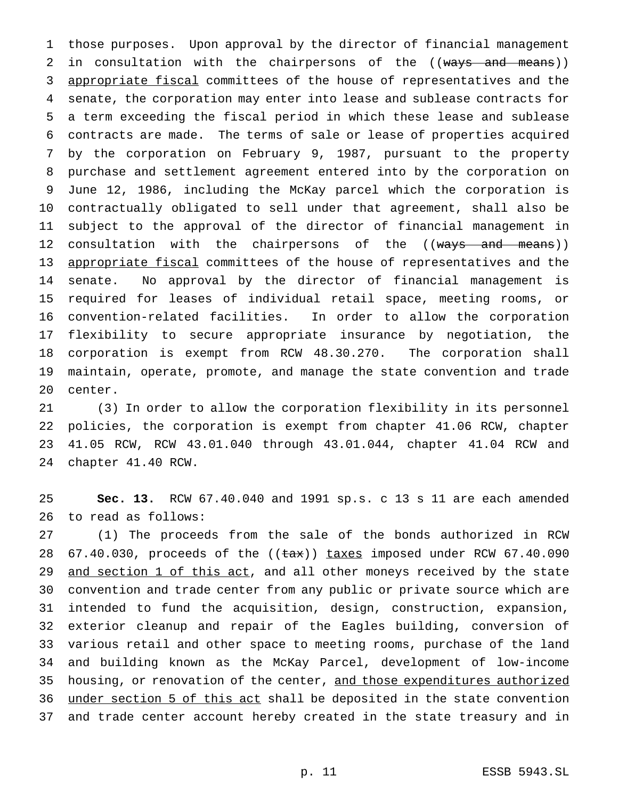those purposes. Upon approval by the director of financial management 2 in consultation with the chairpersons of the ((ways and means)) 3 appropriate fiscal committees of the house of representatives and the senate, the corporation may enter into lease and sublease contracts for a term exceeding the fiscal period in which these lease and sublease contracts are made. The terms of sale or lease of properties acquired by the corporation on February 9, 1987, pursuant to the property purchase and settlement agreement entered into by the corporation on June 12, 1986, including the McKay parcel which the corporation is contractually obligated to sell under that agreement, shall also be subject to the approval of the director of financial management in 12 consultation with the chairpersons of the ((ways and means)) 13 appropriate fiscal committees of the house of representatives and the senate. No approval by the director of financial management is required for leases of individual retail space, meeting rooms, or convention-related facilities. In order to allow the corporation flexibility to secure appropriate insurance by negotiation, the corporation is exempt from RCW 48.30.270. The corporation shall maintain, operate, promote, and manage the state convention and trade center.

 (3) In order to allow the corporation flexibility in its personnel policies, the corporation is exempt from chapter 41.06 RCW, chapter 41.05 RCW, RCW 43.01.040 through 43.01.044, chapter 41.04 RCW and chapter 41.40 RCW.

 **Sec. 13.** RCW 67.40.040 and 1991 sp.s. c 13 s 11 are each amended to read as follows:

 (1) The proceeds from the sale of the bonds authorized in RCW  $67.40.030$ , proceeds of the  $((\text{tax}))$  taxes imposed under RCW  $67.40.090$ 29 and section 1 of this act, and all other moneys received by the state convention and trade center from any public or private source which are intended to fund the acquisition, design, construction, expansion, exterior cleanup and repair of the Eagles building, conversion of various retail and other space to meeting rooms, purchase of the land and building known as the McKay Parcel, development of low-income 35 housing, or renovation of the center, and those expenditures authorized under section 5 of this act shall be deposited in the state convention and trade center account hereby created in the state treasury and in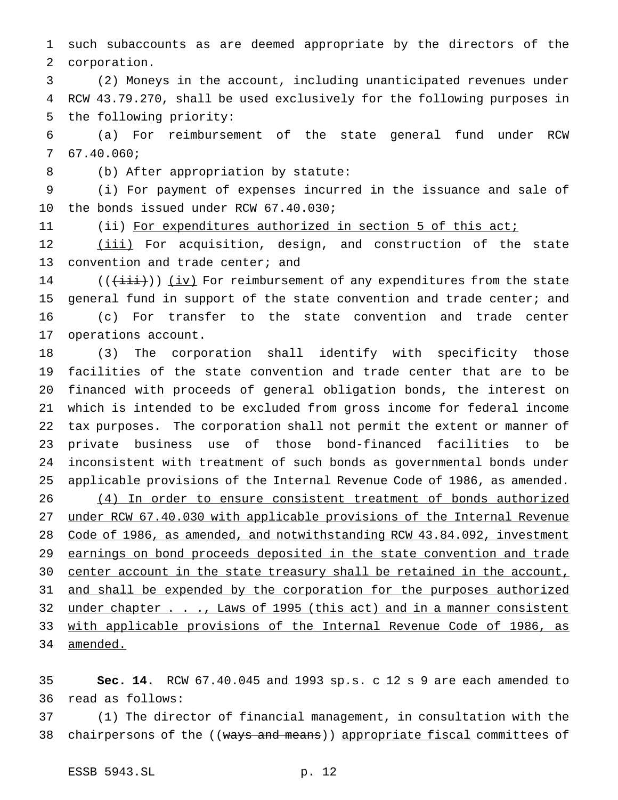such subaccounts as are deemed appropriate by the directors of the corporation.

 (2) Moneys in the account, including unanticipated revenues under RCW 43.79.270, shall be used exclusively for the following purposes in the following priority:

 (a) For reimbursement of the state general fund under RCW 67.40.060;

(b) After appropriation by statute:

 (i) For payment of expenses incurred in the issuance and sale of the bonds issued under RCW 67.40.030;

11 (ii) For expenditures authorized in section 5 of this act;

12 (iii) For acquisition, design, and construction of the state 13 convention and trade center; and

 $((\overrightarrow{\text{iii}}))$  (iv) For reimbursement of any expenditures from the state general fund in support of the state convention and trade center; and (c) For transfer to the state convention and trade center operations account.

 (3) The corporation shall identify with specificity those facilities of the state convention and trade center that are to be financed with proceeds of general obligation bonds, the interest on which is intended to be excluded from gross income for federal income tax purposes. The corporation shall not permit the extent or manner of private business use of those bond-financed facilities to be inconsistent with treatment of such bonds as governmental bonds under applicable provisions of the Internal Revenue Code of 1986, as amended. (4) In order to ensure consistent treatment of bonds authorized under RCW 67.40.030 with applicable provisions of the Internal Revenue Code of 1986, as amended, and notwithstanding RCW 43.84.092, investment 29 earnings on bond proceeds deposited in the state convention and trade 30 center account in the state treasury shall be retained in the account, 31 and shall be expended by the corporation for the purposes authorized 32 under chapter . . ., Laws of 1995 (this act) and in a manner consistent with applicable provisions of the Internal Revenue Code of 1986, as 34 amended.

 **Sec. 14.** RCW 67.40.045 and 1993 sp.s. c 12 s 9 are each amended to read as follows:

 (1) The director of financial management, in consultation with the 38 chairpersons of the ((ways and means)) appropriate fiscal committees of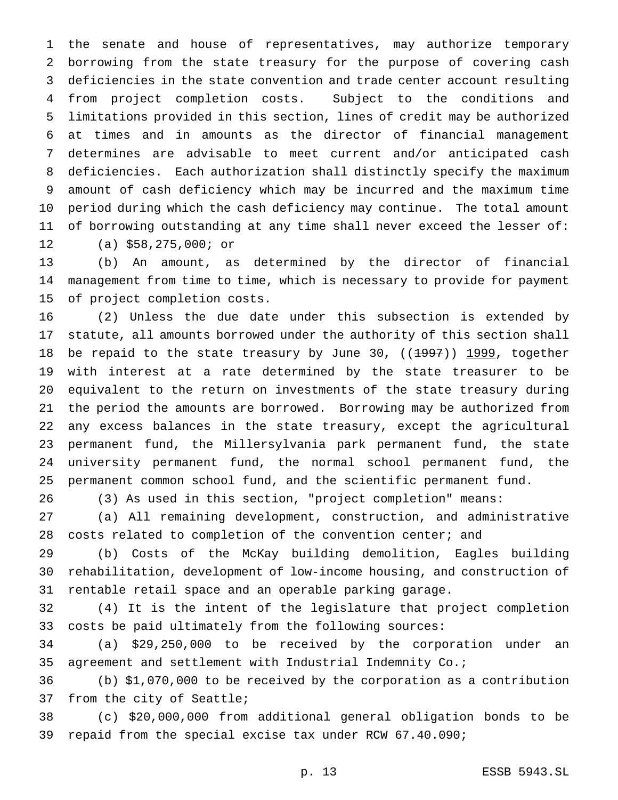the senate and house of representatives, may authorize temporary borrowing from the state treasury for the purpose of covering cash deficiencies in the state convention and trade center account resulting from project completion costs. Subject to the conditions and limitations provided in this section, lines of credit may be authorized at times and in amounts as the director of financial management determines are advisable to meet current and/or anticipated cash deficiencies. Each authorization shall distinctly specify the maximum amount of cash deficiency which may be incurred and the maximum time period during which the cash deficiency may continue. The total amount of borrowing outstanding at any time shall never exceed the lesser of: (a) \$58,275,000; or

 (b) An amount, as determined by the director of financial management from time to time, which is necessary to provide for payment of project completion costs.

 (2) Unless the due date under this subsection is extended by statute, all amounts borrowed under the authority of this section shall 18 be repaid to the state treasury by June 30, ((1997)) 1999, together with interest at a rate determined by the state treasurer to be equivalent to the return on investments of the state treasury during the period the amounts are borrowed. Borrowing may be authorized from any excess balances in the state treasury, except the agricultural permanent fund, the Millersylvania park permanent fund, the state university permanent fund, the normal school permanent fund, the permanent common school fund, and the scientific permanent fund.

(3) As used in this section, "project completion" means:

 (a) All remaining development, construction, and administrative costs related to completion of the convention center; and

 (b) Costs of the McKay building demolition, Eagles building rehabilitation, development of low-income housing, and construction of rentable retail space and an operable parking garage.

 (4) It is the intent of the legislature that project completion costs be paid ultimately from the following sources:

 (a) \$29,250,000 to be received by the corporation under an agreement and settlement with Industrial Indemnity Co.;

 (b) \$1,070,000 to be received by the corporation as a contribution from the city of Seattle;

 (c) \$20,000,000 from additional general obligation bonds to be repaid from the special excise tax under RCW 67.40.090;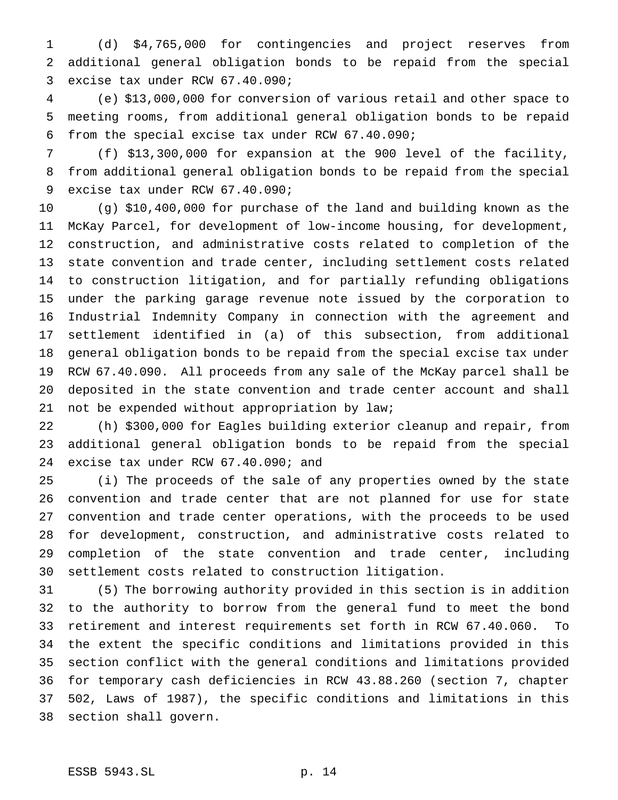(d) \$4,765,000 for contingencies and project reserves from additional general obligation bonds to be repaid from the special excise tax under RCW 67.40.090;

 (e) \$13,000,000 for conversion of various retail and other space to meeting rooms, from additional general obligation bonds to be repaid from the special excise tax under RCW 67.40.090;

 (f) \$13,300,000 for expansion at the 900 level of the facility, from additional general obligation bonds to be repaid from the special excise tax under RCW 67.40.090;

 (g) \$10,400,000 for purchase of the land and building known as the McKay Parcel, for development of low-income housing, for development, construction, and administrative costs related to completion of the state convention and trade center, including settlement costs related to construction litigation, and for partially refunding obligations under the parking garage revenue note issued by the corporation to Industrial Indemnity Company in connection with the agreement and settlement identified in (a) of this subsection, from additional general obligation bonds to be repaid from the special excise tax under RCW 67.40.090. All proceeds from any sale of the McKay parcel shall be deposited in the state convention and trade center account and shall not be expended without appropriation by law;

 (h) \$300,000 for Eagles building exterior cleanup and repair, from additional general obligation bonds to be repaid from the special excise tax under RCW 67.40.090; and

 (i) The proceeds of the sale of any properties owned by the state convention and trade center that are not planned for use for state convention and trade center operations, with the proceeds to be used for development, construction, and administrative costs related to completion of the state convention and trade center, including settlement costs related to construction litigation.

 (5) The borrowing authority provided in this section is in addition to the authority to borrow from the general fund to meet the bond retirement and interest requirements set forth in RCW 67.40.060. To the extent the specific conditions and limitations provided in this section conflict with the general conditions and limitations provided for temporary cash deficiencies in RCW 43.88.260 (section 7, chapter 502, Laws of 1987), the specific conditions and limitations in this section shall govern.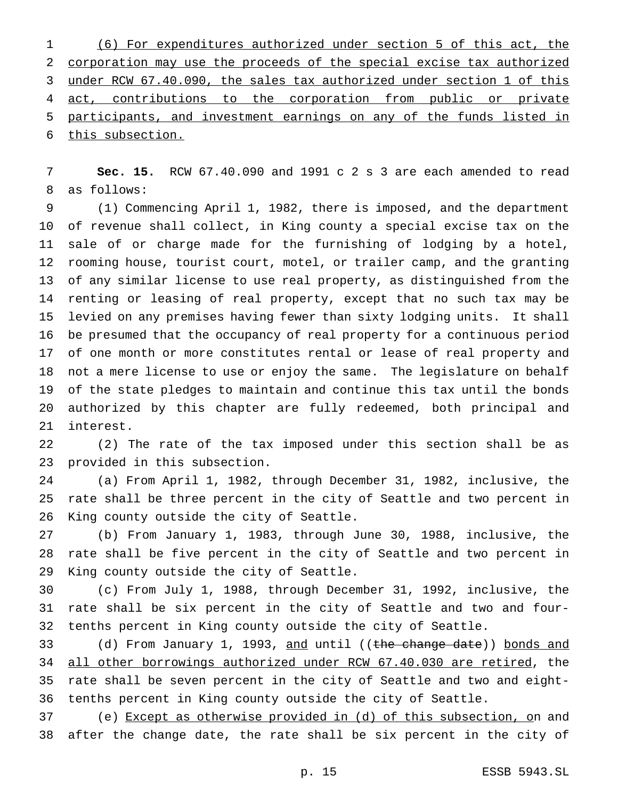(6) For expenditures authorized under section 5 of this act, the corporation may use the proceeds of the special excise tax authorized under RCW 67.40.090, the sales tax authorized under section 1 of this 4 act, contributions to the corporation from public or private participants, and investment earnings on any of the funds listed in this subsection.

 **Sec. 15.** RCW 67.40.090 and 1991 c 2 s 3 are each amended to read as follows:

 (1) Commencing April 1, 1982, there is imposed, and the department of revenue shall collect, in King county a special excise tax on the sale of or charge made for the furnishing of lodging by a hotel, rooming house, tourist court, motel, or trailer camp, and the granting of any similar license to use real property, as distinguished from the renting or leasing of real property, except that no such tax may be levied on any premises having fewer than sixty lodging units. It shall be presumed that the occupancy of real property for a continuous period of one month or more constitutes rental or lease of real property and not a mere license to use or enjoy the same. The legislature on behalf of the state pledges to maintain and continue this tax until the bonds authorized by this chapter are fully redeemed, both principal and interest.

 (2) The rate of the tax imposed under this section shall be as provided in this subsection.

 (a) From April 1, 1982, through December 31, 1982, inclusive, the rate shall be three percent in the city of Seattle and two percent in King county outside the city of Seattle.

 (b) From January 1, 1983, through June 30, 1988, inclusive, the rate shall be five percent in the city of Seattle and two percent in King county outside the city of Seattle.

 (c) From July 1, 1988, through December 31, 1992, inclusive, the rate shall be six percent in the city of Seattle and two and four-tenths percent in King county outside the city of Seattle.

33 (d) From January 1, 1993, and until ((the change date)) bonds and all other borrowings authorized under RCW 67.40.030 are retired, the rate shall be seven percent in the city of Seattle and two and eight-tenths percent in King county outside the city of Seattle.

 (e) Except as otherwise provided in (d) of this subsection, on and after the change date, the rate shall be six percent in the city of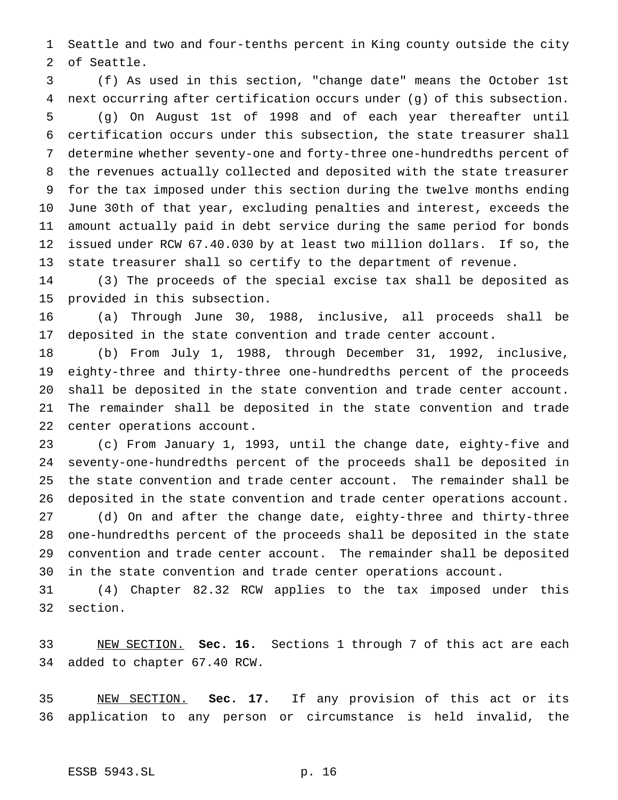Seattle and two and four-tenths percent in King county outside the city of Seattle.

 (f) As used in this section, "change date" means the October 1st next occurring after certification occurs under (g) of this subsection. (g) On August 1st of 1998 and of each year thereafter until certification occurs under this subsection, the state treasurer shall determine whether seventy-one and forty-three one-hundredths percent of the revenues actually collected and deposited with the state treasurer for the tax imposed under this section during the twelve months ending June 30th of that year, excluding penalties and interest, exceeds the amount actually paid in debt service during the same period for bonds issued under RCW 67.40.030 by at least two million dollars. If so, the state treasurer shall so certify to the department of revenue.

 (3) The proceeds of the special excise tax shall be deposited as provided in this subsection.

 (a) Through June 30, 1988, inclusive, all proceeds shall be deposited in the state convention and trade center account.

 (b) From July 1, 1988, through December 31, 1992, inclusive, eighty-three and thirty-three one-hundredths percent of the proceeds shall be deposited in the state convention and trade center account. The remainder shall be deposited in the state convention and trade center operations account.

 (c) From January 1, 1993, until the change date, eighty-five and seventy-one-hundredths percent of the proceeds shall be deposited in the state convention and trade center account. The remainder shall be deposited in the state convention and trade center operations account.

 (d) On and after the change date, eighty-three and thirty-three one-hundredths percent of the proceeds shall be deposited in the state convention and trade center account. The remainder shall be deposited in the state convention and trade center operations account.

 (4) Chapter 82.32 RCW applies to the tax imposed under this section.

 NEW SECTION. **Sec. 16.** Sections 1 through 7 of this act are each added to chapter 67.40 RCW.

 NEW SECTION. **Sec. 17.** If any provision of this act or its application to any person or circumstance is held invalid, the